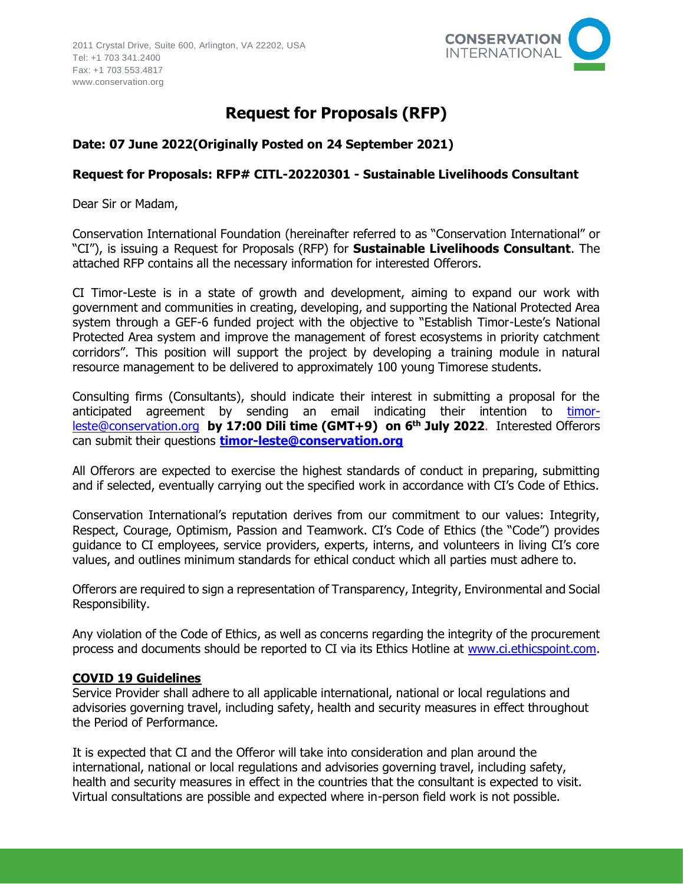

# **Request for Proposals (RFP)**

## **Date: 07 June 2022(Originally Posted on 24 September 2021)**

## **Request for Proposals: RFP# CITL-20220301 - Sustainable Livelihoods Consultant**

Dear Sir or Madam,

Conservation International Foundation (hereinafter referred to as "Conservation International" or "CI"), is issuing a Request for Proposals (RFP) for **Sustainable Livelihoods Consultant**. The attached RFP contains all the necessary information for interested Offerors.

CI Timor-Leste is in a state of growth and development, aiming to expand our work with government and communities in creating, developing, and supporting the National Protected Area system through a GEF-6 funded project with the objective to "Establish Timor-Leste's National Protected Area system and improve the management of forest ecosystems in priority catchment corridors". This position will support the project by developing a training module in natural resource management to be delivered to approximately 100 young Timorese students.

Consulting firms (Consultants), should indicate their interest in submitting a proposal for the anticipated agreement by sending an email indicating their intention to [timor](mailto:timor-leste@conservation.org)[leste@conservation.org](mailto:timor-leste@conservation.org) **by 17:00 Dili time (GMT+9) on 6 th July 2022**. Interested Offerors can submit their questions **[timor-leste@conservation.org](mailto:timor-leste@conservation.org)**

All Offerors are expected to exercise the highest standards of conduct in preparing, submitting and if selected, eventually carrying out the specified work in accordance with CI's Code of Ethics.

Conservation International's reputation derives from our commitment to our values: Integrity, Respect, Courage, Optimism, Passion and Teamwork. CI's Code of Ethics (the "Code") provides guidance to CI employees, service providers, experts, interns, and volunteers in living CI's core values, and outlines minimum standards for ethical conduct which all parties must adhere to.

Offerors are required to sign a representation of Transparency, Integrity, Environmental and Social Responsibility.

Any violation of the Code of Ethics, as well as concerns regarding the integrity of the procurement process and documents should be reported to CI via its Ethics Hotline at [www.ci.ethicspoint.com.](http://www.ci.ethicspoint.com/)

## **COVID 19 Guidelines**

Service Provider shall adhere to all applicable international, national or local regulations and advisories governing travel, including safety, health and security measures in effect throughout the Period of Performance.

It is expected that CI and the Offeror will take into consideration and plan around the international, national or local regulations and advisories governing travel, including safety, health and security measures in effect in the countries that the consultant is expected to visit. Virtual consultations are possible and expected where in-person field work is not possible.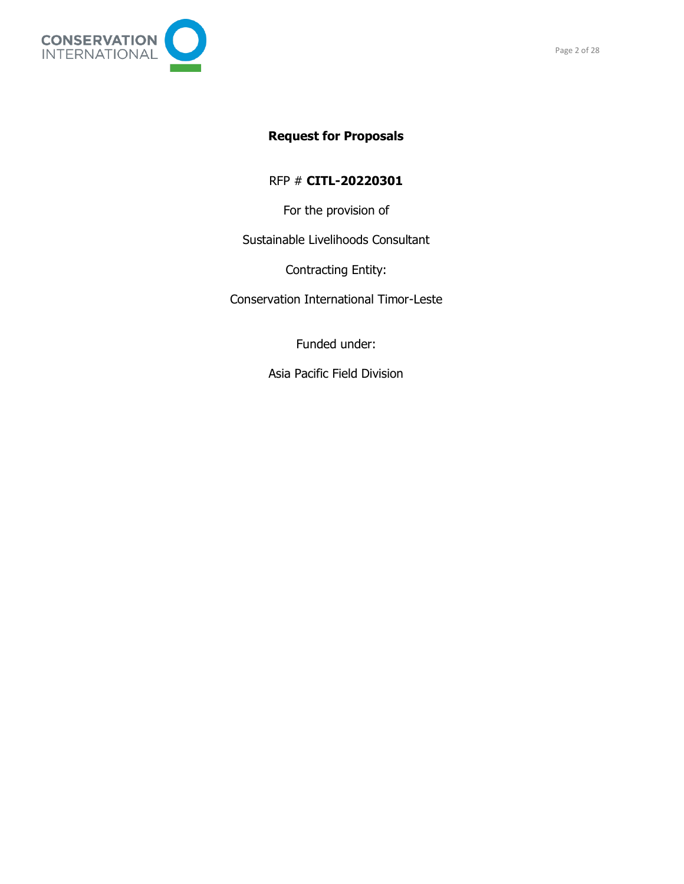

RFP # **CITL-20220301**

For the provision of

Sustainable Livelihoods Consultant

Contracting Entity:

Conservation International Timor-Leste

Funded under:

Asia Pacific Field Division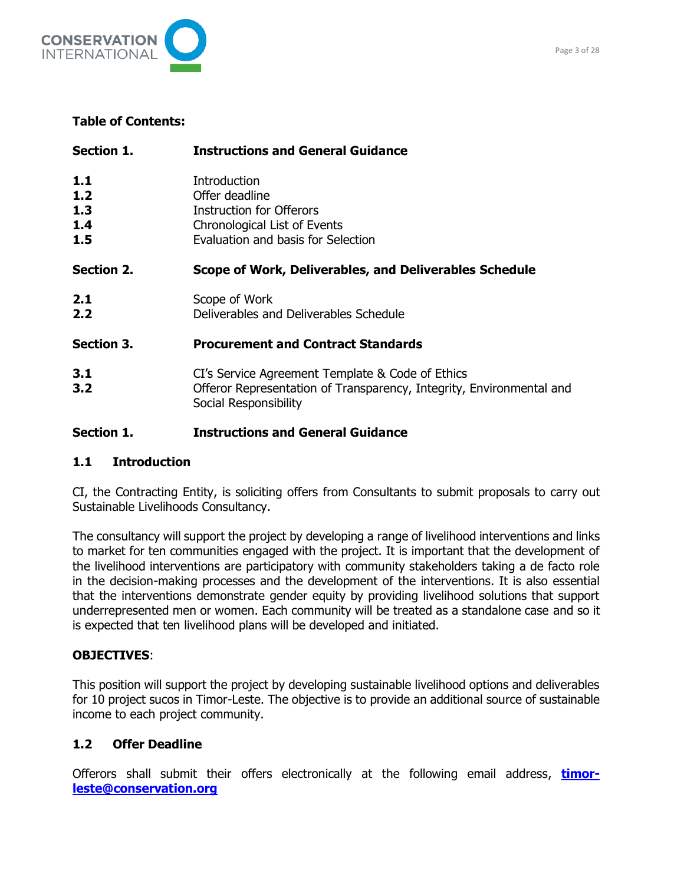

## **Table of Contents:**

| Section 1.                      | <b>Instructions and General Guidance</b>                                                                                                          |  |
|---------------------------------|---------------------------------------------------------------------------------------------------------------------------------------------------|--|
| 1.1<br>1.2<br>1.3<br>1.4<br>1.5 | Introduction<br>Offer deadline<br><b>Instruction for Offerors</b><br><b>Chronological List of Events</b><br>Evaluation and basis for Selection    |  |
| Section 2.                      | Scope of Work, Deliverables, and Deliverables Schedule                                                                                            |  |
| 2.1<br>2.2                      | Scope of Work<br>Deliverables and Deliverables Schedule                                                                                           |  |
| Section 3.                      | <b>Procurement and Contract Standards</b>                                                                                                         |  |
| 3.1<br>3.2                      | CI's Service Agreement Template & Code of Ethics<br>Offeror Representation of Transparency, Integrity, Environmental and<br>Social Responsibility |  |

## **Section 1. Instructions and General Guidance**

## **1.1 Introduction**

CI, the Contracting Entity, is soliciting offers from Consultants to submit proposals to carry out Sustainable Livelihoods Consultancy.

The consultancy will support the project by developing a range of livelihood interventions and links to market for ten communities engaged with the project. It is important that the development of the livelihood interventions are participatory with community stakeholders taking a de facto role in the decision-making processes and the development of the interventions. It is also essential that the interventions demonstrate gender equity by providing livelihood solutions that support underrepresented men or women. Each community will be treated as a standalone case and so it is expected that ten livelihood plans will be developed and initiated.

## **OBJECTIVES**:

This position will support the project by developing sustainable livelihood options and deliverables for 10 project sucos in Timor-Leste. The objective is to provide an additional source of sustainable income to each project community.

## **1.2 Offer Deadline**

Offerors shall submit their offers electronically at the following email address, **[timor](mailto:timor-leste@conservation.org)[leste@conservation.org](mailto:timor-leste@conservation.org)**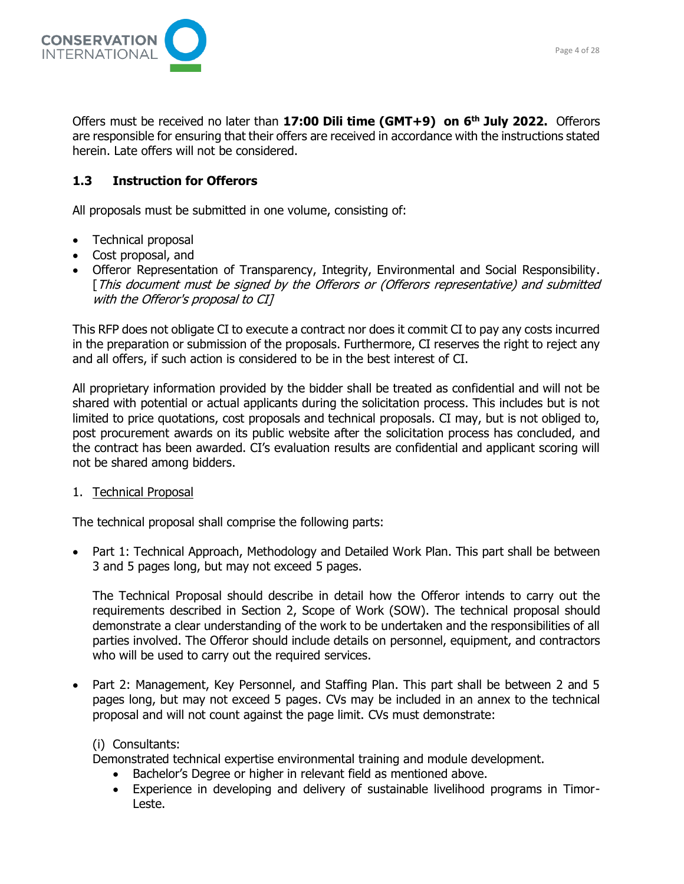

Offers must be received no later than **17:00 Dili time (GMT+9) on 6 th July 2022.** Offerors are responsible for ensuring that their offers are received in accordance with the instructions stated herein. Late offers will not be considered.

## **1.3 Instruction for Offerors**

All proposals must be submitted in one volume, consisting of:

- Technical proposal
- Cost proposal, and
- Offeror Representation of Transparency, Integrity, Environmental and Social Responsibility. [This document must be signed by the Offerors or (Offerors representative) and submitted with the Offeror's proposal to CI]

This RFP does not obligate CI to execute a contract nor does it commit CI to pay any costs incurred in the preparation or submission of the proposals. Furthermore, CI reserves the right to reject any and all offers, if such action is considered to be in the best interest of CI.

All proprietary information provided by the bidder shall be treated as confidential and will not be shared with potential or actual applicants during the solicitation process. This includes but is not limited to price quotations, cost proposals and technical proposals. CI may, but is not obliged to, post procurement awards on its public website after the solicitation process has concluded, and the contract has been awarded. CI's evaluation results are confidential and applicant scoring will not be shared among bidders.

1. Technical Proposal

The technical proposal shall comprise the following parts:

• Part 1: Technical Approach, Methodology and Detailed Work Plan. This part shall be between 3 and 5 pages long, but may not exceed 5 pages.

The Technical Proposal should describe in detail how the Offeror intends to carry out the requirements described in Section 2, Scope of Work (SOW). The technical proposal should demonstrate a clear understanding of the work to be undertaken and the responsibilities of all parties involved. The Offeror should include details on personnel, equipment, and contractors who will be used to carry out the required services.

• Part 2: Management, Key Personnel, and Staffing Plan. This part shall be between 2 and 5 pages long, but may not exceed 5 pages. CVs may be included in an annex to the technical proposal and will not count against the page limit. CVs must demonstrate:

## (i) Consultants:

Demonstrated technical expertise environmental training and module development.

- Bachelor's Degree or higher in relevant field as mentioned above.
- Experience in developing and delivery of sustainable livelihood programs in Timor-Leste.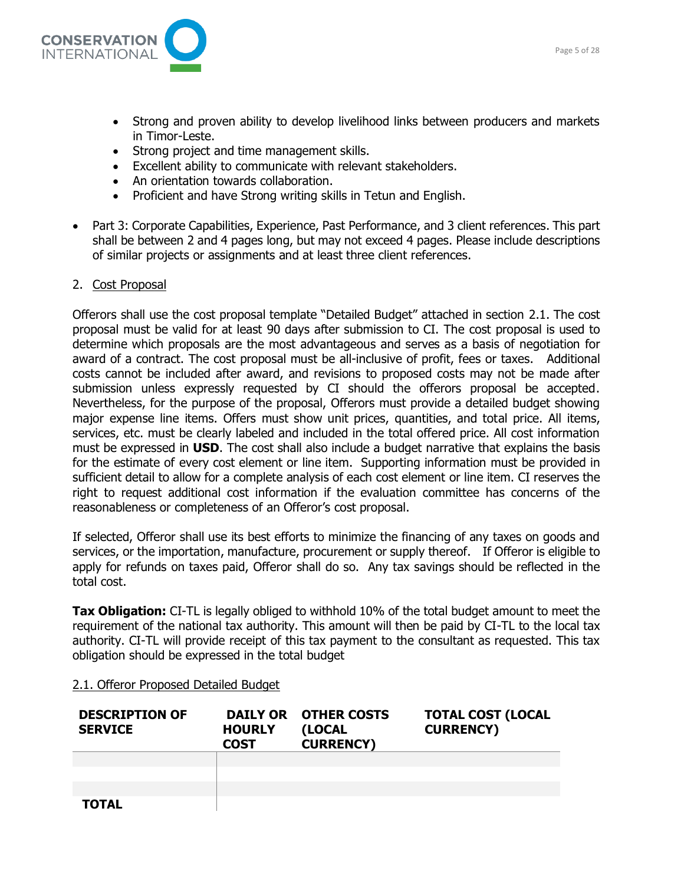

- Strong and proven ability to develop livelihood links between producers and markets in Timor-Leste.
- Strong project and time management skills.
- Excellent ability to communicate with relevant stakeholders.
- An orientation towards collaboration.
- Proficient and have Strong writing skills in Tetun and English.
- Part 3: Corporate Capabilities, Experience, Past Performance, and 3 client references. This part shall be between 2 and 4 pages long, but may not exceed 4 pages. Please include descriptions of similar projects or assignments and at least three client references.

#### 2. Cost Proposal

Offerors shall use the cost proposal template "Detailed Budget" attached in section 2.1. The cost proposal must be valid for at least 90 days after submission to CI. The cost proposal is used to determine which proposals are the most advantageous and serves as a basis of negotiation for award of a contract. The cost proposal must be all-inclusive of profit, fees or taxes. Additional costs cannot be included after award, and revisions to proposed costs may not be made after submission unless expressly requested by CI should the offerors proposal be accepted. Nevertheless, for the purpose of the proposal, Offerors must provide a detailed budget showing major expense line items. Offers must show unit prices, quantities, and total price. All items, services, etc. must be clearly labeled and included in the total offered price. All cost information must be expressed in **USD**. The cost shall also include a budget narrative that explains the basis for the estimate of every cost element or line item. Supporting information must be provided in sufficient detail to allow for a complete analysis of each cost element or line item. CI reserves the right to request additional cost information if the evaluation committee has concerns of the reasonableness or completeness of an Offeror's cost proposal.

If selected, Offeror shall use its best efforts to minimize the financing of any taxes on goods and services, or the importation, manufacture, procurement or supply thereof. If Offeror is eligible to apply for refunds on taxes paid, Offeror shall do so. Any tax savings should be reflected in the total cost.

**Tax Obligation:** CI-TL is legally obliged to withhold 10% of the total budget amount to meet the requirement of the national tax authority. This amount will then be paid by CI-TL to the local tax authority. CI-TL will provide receipt of this tax payment to the consultant as requested. This tax obligation should be expressed in the total budget

#### 2.1. Offeror Proposed Detailed Budget

| <b>DESCRIPTION OF</b><br><b>SERVICE</b> | <b>HOURLY</b><br><b>COST</b> | DAILY OR OTHER COSTS<br>(LOCAL)<br><b>CURRENCY)</b> | <b>TOTAL COST (LOCAL</b><br><b>CURRENCY</b> ) |
|-----------------------------------------|------------------------------|-----------------------------------------------------|-----------------------------------------------|
|                                         |                              |                                                     |                                               |
|                                         |                              |                                                     |                                               |
|                                         |                              |                                                     |                                               |
| <b>TOTAL</b>                            |                              |                                                     |                                               |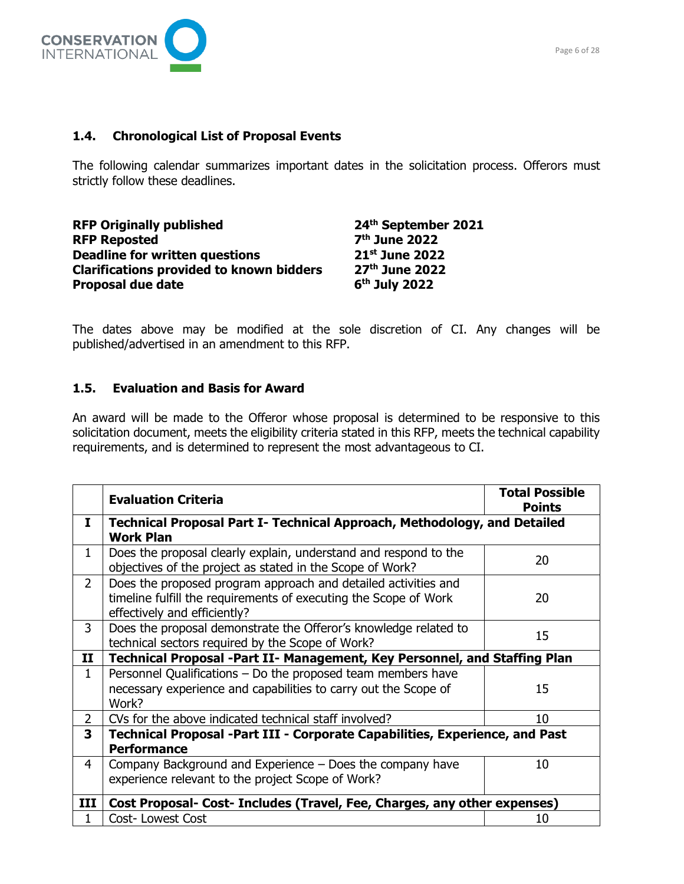

## **1.4. Chronological List of Proposal Events**

The following calendar summarizes important dates in the solicitation process. Offerors must strictly follow these deadlines.

| <b>RFP Originally published</b>                 | 24th September 2021       |
|-------------------------------------------------|---------------------------|
| <b>RFP Reposted</b>                             | 7 <sup>th</sup> June 2022 |
| <b>Deadline for written questions</b>           | 21st June 2022            |
| <b>Clarifications provided to known bidders</b> | 27th June 2022            |
| <b>Proposal due date</b>                        | 6 <sup>th</sup> July 2022 |

The dates above may be modified at the sole discretion of CI. Any changes will be published/advertised in an amendment to this RFP.

### **1.5. Evaluation and Basis for Award**

An award will be made to the Offeror whose proposal is determined to be responsive to this solicitation document, meets the eligibility criteria stated in this RFP, meets the technical capability requirements, and is determined to represent the most advantageous to CI.

|                | <b>Evaluation Criteria</b>                                                                                                                                         | <b>Total Possible</b><br><b>Points</b> |  |
|----------------|--------------------------------------------------------------------------------------------------------------------------------------------------------------------|----------------------------------------|--|
| I              | Technical Proposal Part I- Technical Approach, Methodology, and Detailed<br><b>Work Plan</b>                                                                       |                                        |  |
| $\mathbf{1}$   | Does the proposal clearly explain, understand and respond to the<br>objectives of the project as stated in the Scope of Work?                                      | 20                                     |  |
| $\overline{2}$ | Does the proposed program approach and detailed activities and<br>timeline fulfill the requirements of executing the Scope of Work<br>effectively and efficiently? | 20                                     |  |
| 3              | Does the proposal demonstrate the Offeror's knowledge related to<br>technical sectors required by the Scope of Work?                                               | 15                                     |  |
| $\mathbf{I}$   | Technical Proposal -Part II- Management, Key Personnel, and Staffing Plan                                                                                          |                                        |  |
| 1              | Personnel Qualifications - Do the proposed team members have<br>necessary experience and capabilities to carry out the Scope of<br>Work?                           | 15                                     |  |
| $\overline{2}$ | CVs for the above indicated technical staff involved?                                                                                                              | 10                                     |  |
| 3              | Technical Proposal -Part III - Corporate Capabilities, Experience, and Past<br><b>Performance</b>                                                                  |                                        |  |
| 4              | Company Background and Experience – Does the company have<br>experience relevant to the project Scope of Work?                                                     | 10                                     |  |
| III            | Cost Proposal- Cost- Includes (Travel, Fee, Charges, any other expenses)                                                                                           |                                        |  |
| 1              | Cost-Lowest Cost                                                                                                                                                   | 10                                     |  |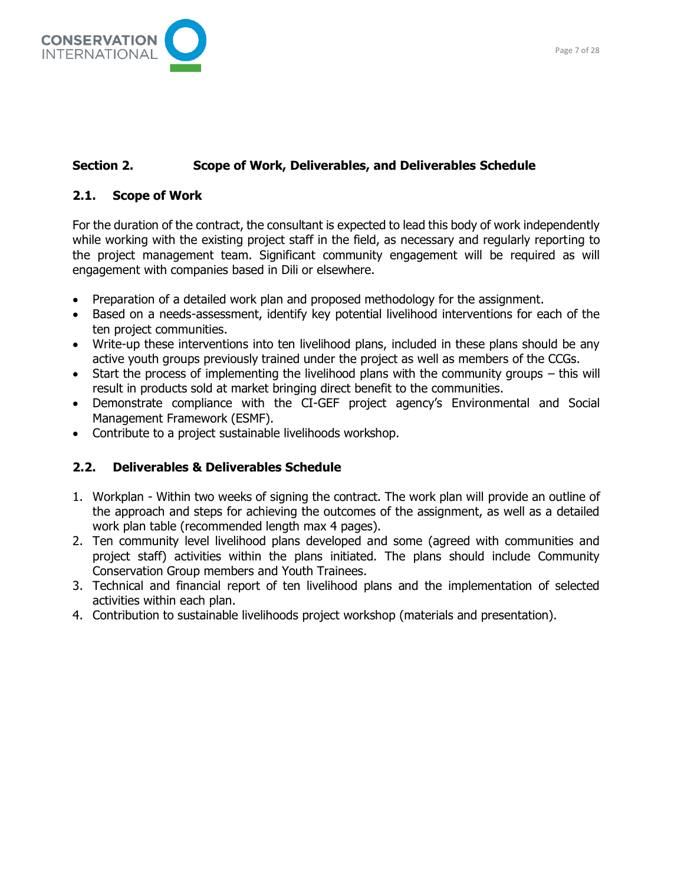

## **Section 2. Scope of Work, Deliverables, and Deliverables Schedule**

## **2.1. Scope of Work**

For the duration of the contract, the consultant is expected to lead this body of work independently while working with the existing project staff in the field, as necessary and regularly reporting to the project management team. Significant community engagement will be required as will engagement with companies based in Dili or elsewhere.

- Preparation of a detailed work plan and proposed methodology for the assignment.
- Based on a needs-assessment, identify key potential livelihood interventions for each of the ten project communities.
- Write-up these interventions into ten livelihood plans, included in these plans should be any active youth groups previously trained under the project as well as members of the CCGs.
- Start the process of implementing the livelihood plans with the community groups  $-$  this will result in products sold at market bringing direct benefit to the communities.
- Demonstrate compliance with the CI-GEF project agency's Environmental and Social Management Framework (ESMF).
- Contribute to a project sustainable livelihoods workshop.

## **2.2. Deliverables & Deliverables Schedule**

- 1. Workplan Within two weeks of signing the contract. The work plan will provide an outline of the approach and steps for achieving the outcomes of the assignment, as well as a detailed work plan table (recommended length max 4 pages).
- 2. Ten community level livelihood plans developed and some (agreed with communities and project staff) activities within the plans initiated. The plans should include Community Conservation Group members and Youth Trainees.
- 3. Technical and financial report of ten livelihood plans and the implementation of selected activities within each plan.
- 4. Contribution to sustainable livelihoods project workshop (materials and presentation).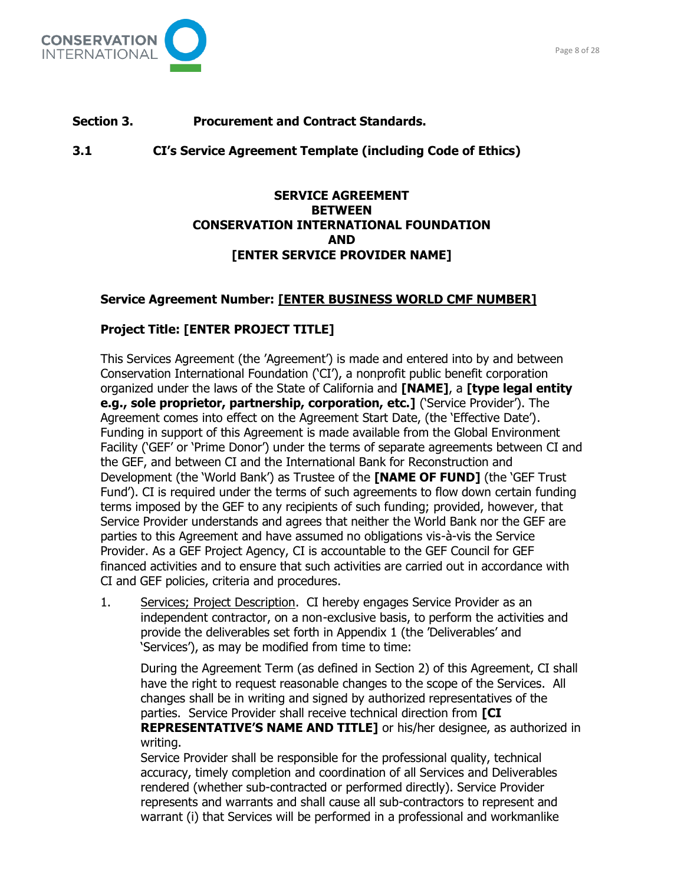

**3.1 CI's Service Agreement Template (including Code of Ethics)**

## **SERVICE AGREEMENT BETWEEN CONSERVATION INTERNATIONAL FOUNDATION AND [ENTER SERVICE PROVIDER NAME]**

## **Service Agreement Number: [ENTER BUSINESS WORLD CMF NUMBER]**

## **Project Title: [ENTER PROJECT TITLE]**

This Services Agreement (the 'Agreement') is made and entered into by and between Conservation International Foundation ('CI'), a nonprofit public benefit corporation organized under the laws of the State of California and **[NAME]**, a **[type legal entity e.g., sole proprietor, partnership, corporation, etc.]** ('Service Provider'). The Agreement comes into effect on the Agreement Start Date, (the 'Effective Date'). Funding in support of this Agreement is made available from the Global Environment Facility ('GEF' or 'Prime Donor') under the terms of separate agreements between CI and the GEF, and between CI and the International Bank for Reconstruction and Development (the 'World Bank') as Trustee of the **[NAME OF FUND]** (the 'GEF Trust Fund'). CI is required under the terms of such agreements to flow down certain funding terms imposed by the GEF to any recipients of such funding; provided, however, that Service Provider understands and agrees that neither the World Bank nor the GEF are parties to this Agreement and have assumed no obligations vis-à-vis the Service Provider. As a GEF Project Agency, CI is accountable to the GEF Council for GEF financed activities and to ensure that such activities are carried out in accordance with CI and GEF policies, criteria and procedures.

1. Services; Project Description. CI hereby engages Service Provider as an independent contractor, on a non-exclusive basis, to perform the activities and provide the deliverables set forth in Appendix 1 (the 'Deliverables' and 'Services'), as may be modified from time to time:

During the Agreement Term (as defined in Section 2) of this Agreement, CI shall have the right to request reasonable changes to the scope of the Services. All changes shall be in writing and signed by authorized representatives of the parties. Service Provider shall receive technical direction from **[CI REPRESENTATIVE'S NAME AND TITLE]** or his/her designee, as authorized in writing.

Service Provider shall be responsible for the professional quality, technical accuracy, timely completion and coordination of all Services and Deliverables rendered (whether sub-contracted or performed directly). Service Provider represents and warrants and shall cause all sub-contractors to represent and warrant (i) that Services will be performed in a professional and workmanlike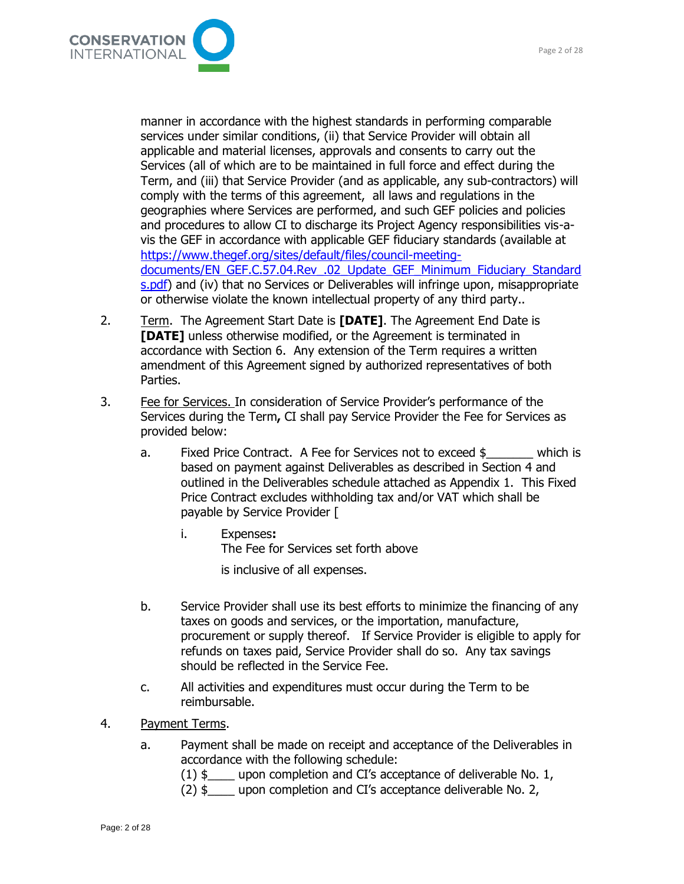

manner in accordance with the highest standards in performing comparable services under similar conditions, (ii) that Service Provider will obtain all applicable and material licenses, approvals and consents to carry out the Services (all of which are to be maintained in full force and effect during the Term, and (iii) that Service Provider (and as applicable, any sub-contractors) will comply with the terms of this agreement, all laws and regulations in the geographies where Services are performed, and such GEF policies and policies and procedures to allow CI to discharge its Project Agency responsibilities vis-avis the GEF in accordance with applicable GEF fiduciary standards (available at [https://www.thegef.org/sites/default/files/council-meeting](https://www.thegef.org/sites/default/files/council-meeting-documents/EN_GEF.C.57.04.Rev_.02_Update_GEF_Minimum_Fiduciary_Standards.pdf)[documents/EN\\_GEF.C.57.04.Rev\\_.02\\_Update\\_GEF\\_Minimum\\_Fiduciary\\_Standard](https://www.thegef.org/sites/default/files/council-meeting-documents/EN_GEF.C.57.04.Rev_.02_Update_GEF_Minimum_Fiduciary_Standards.pdf) [s.pdf\)](https://www.thegef.org/sites/default/files/council-meeting-documents/EN_GEF.C.57.04.Rev_.02_Update_GEF_Minimum_Fiduciary_Standards.pdf) and (iv) that no Services or Deliverables will infringe upon, misappropriate or otherwise violate the known intellectual property of any third party..

- 2. Term. The Agreement Start Date is **[DATE]**. The Agreement End Date is **[DATE]** unless otherwise modified, or the Agreement is terminated in accordance with Section 6. Any extension of the Term requires a written amendment of this Agreement signed by authorized representatives of both Parties.
- 3. Fee for Services. In consideration of Service Provider's performance of the Services during the Term**,** CI shall pay Service Provider the Fee for Services as provided below:
	- a. Fixed Price Contract. A Fee for Services not to exceed \$ which is based on payment against Deliverables as described in Section 4 and outlined in the Deliverables schedule attached as Appendix 1. This Fixed Price Contract excludes withholding tax and/or VAT which shall be payable by Service Provider [
		- i. Expenses**:**  The Fee for Services set forth above is inclusive of all expenses.
	- b. Service Provider shall use its best efforts to minimize the financing of any taxes on goods and services, or the importation, manufacture, procurement or supply thereof. If Service Provider is eligible to apply for refunds on taxes paid, Service Provider shall do so. Any tax savings should be reflected in the Service Fee.
	- c. All activities and expenditures must occur during the Term to be reimbursable.
- 4. Payment Terms.
	- a. Payment shall be made on receipt and acceptance of the Deliverables in accordance with the following schedule:
		- $(1)$  \$ upon completion and CI's acceptance of deliverable No. 1,
		- (2) \$\_\_\_\_ upon completion and CI's acceptance deliverable No. 2,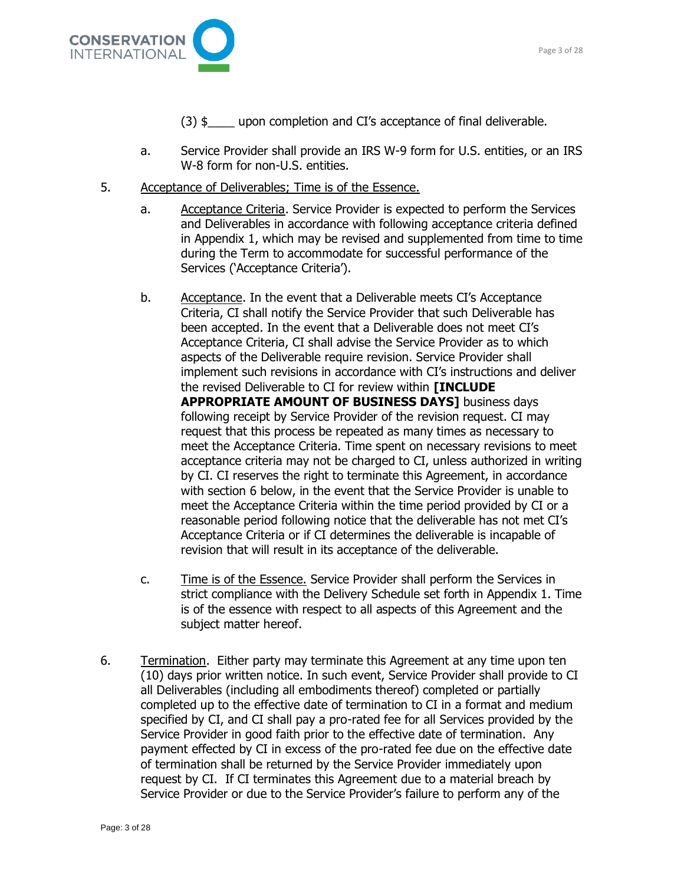

- $(3)$  \$ upon completion and CI's acceptance of final deliverable.
- a. Service Provider shall provide an IRS W-9 form for U.S. entities, or an IRS W-8 form for non-U.S. entities.
- 5. Acceptance of Deliverables; Time is of the Essence.
	- a. Acceptance Criteria. Service Provider is expected to perform the Services and Deliverables in accordance with following acceptance criteria defined in Appendix 1, which may be revised and supplemented from time to time during the Term to accommodate for successful performance of the Services ('Acceptance Criteria').
	- b. Acceptance. In the event that a Deliverable meets CI's Acceptance Criteria, CI shall notify the Service Provider that such Deliverable has been accepted. In the event that a Deliverable does not meet CI's Acceptance Criteria, CI shall advise the Service Provider as to which aspects of the Deliverable require revision. Service Provider shall implement such revisions in accordance with CI's instructions and deliver the revised Deliverable to CI for review within **[INCLUDE APPROPRIATE AMOUNT OF BUSINESS DAYS]** business days following receipt by Service Provider of the revision request. CI may request that this process be repeated as many times as necessary to meet the Acceptance Criteria. Time spent on necessary revisions to meet acceptance criteria may not be charged to CI, unless authorized in writing by CI. CI reserves the right to terminate this Agreement, in accordance with section 6 below, in the event that the Service Provider is unable to meet the Acceptance Criteria within the time period provided by CI or a reasonable period following notice that the deliverable has not met CI's Acceptance Criteria or if CI determines the deliverable is incapable of revision that will result in its acceptance of the deliverable.
	- c. Time is of the Essence. Service Provider shall perform the Services in strict compliance with the Delivery Schedule set forth in Appendix 1. Time is of the essence with respect to all aspects of this Agreement and the subject matter hereof.
- 6. Termination. Either party may terminate this Agreement at any time upon ten (10) days prior written notice. In such event, Service Provider shall provide to CI all Deliverables (including all embodiments thereof) completed or partially completed up to the effective date of termination to CI in a format and medium specified by CI, and CI shall pay a pro-rated fee for all Services provided by the Service Provider in good faith prior to the effective date of termination. Any payment effected by CI in excess of the pro-rated fee due on the effective date of termination shall be returned by the Service Provider immediately upon request by CI. If CI terminates this Agreement due to a material breach by Service Provider or due to the Service Provider's failure to perform any of the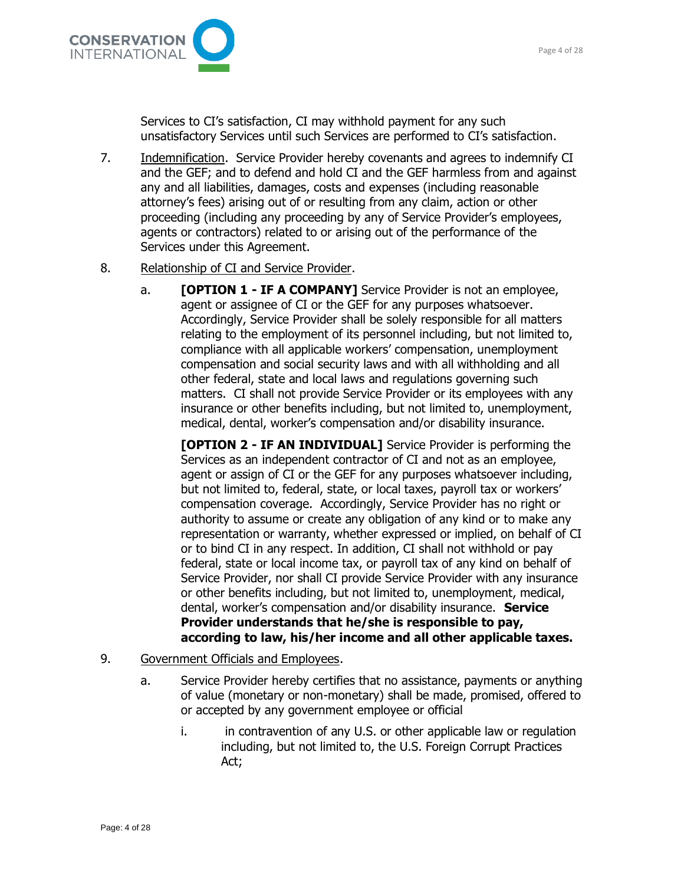

Services to CI's satisfaction, CI may withhold payment for any such unsatisfactory Services until such Services are performed to CI's satisfaction.

7. Indemnification. Service Provider hereby covenants and agrees to indemnify CI and the GEF; and to defend and hold CI and the GEF harmless from and against any and all liabilities, damages, costs and expenses (including reasonable attorney's fees) arising out of or resulting from any claim, action or other proceeding (including any proceeding by any of Service Provider's employees, agents or contractors) related to or arising out of the performance of the Services under this Agreement.

#### 8. Relationship of CI and Service Provider.

a. **[OPTION 1 - IF A COMPANY]** Service Provider is not an employee, agent or assignee of CI or the GEF for any purposes whatsoever. Accordingly, Service Provider shall be solely responsible for all matters relating to the employment of its personnel including, but not limited to, compliance with all applicable workers' compensation, unemployment compensation and social security laws and with all withholding and all other federal, state and local laws and regulations governing such matters. CI shall not provide Service Provider or its employees with any insurance or other benefits including, but not limited to, unemployment, medical, dental, worker's compensation and/or disability insurance.

**[OPTION 2 - IF AN INDIVIDUAL]** Service Provider is performing the Services as an independent contractor of CI and not as an employee, agent or assign of CI or the GEF for any purposes whatsoever including, but not limited to, federal, state, or local taxes, payroll tax or workers' compensation coverage. Accordingly, Service Provider has no right or authority to assume or create any obligation of any kind or to make any representation or warranty, whether expressed or implied, on behalf of CI or to bind CI in any respect. In addition, CI shall not withhold or pay federal, state or local income tax, or payroll tax of any kind on behalf of Service Provider, nor shall CI provide Service Provider with any insurance or other benefits including, but not limited to, unemployment, medical, dental, worker's compensation and/or disability insurance. **Service Provider understands that he/she is responsible to pay, according to law, his/her income and all other applicable taxes.**

- 9. Government Officials and Employees.
	- a. Service Provider hereby certifies that no assistance, payments or anything of value (monetary or non-monetary) shall be made, promised, offered to or accepted by any government employee or official
		- i. in contravention of any U.S. or other applicable law or regulation including, but not limited to, the U.S. Foreign Corrupt Practices Act;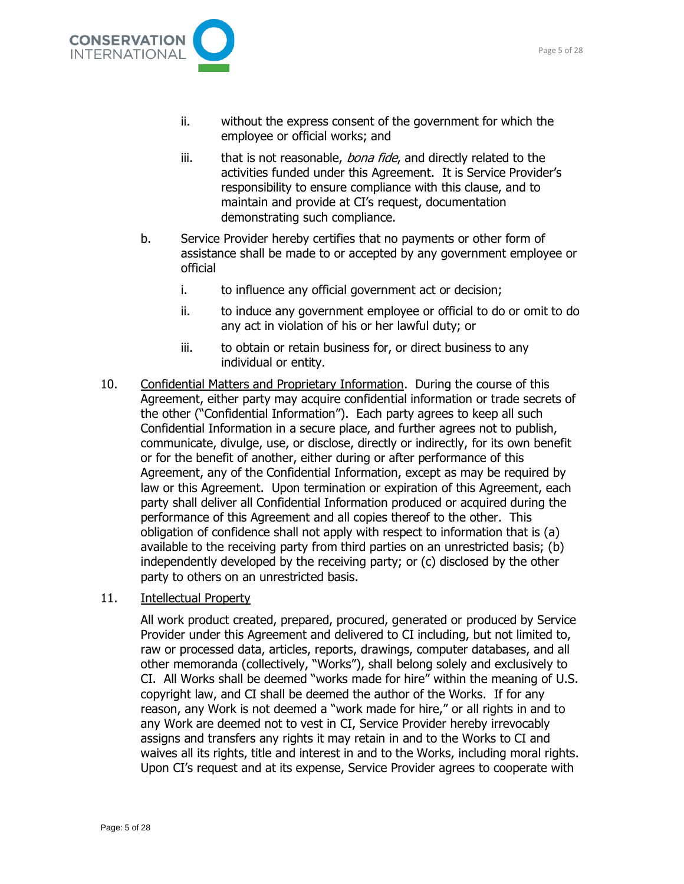

- ii. without the express consent of the government for which the employee or official works; and
- iii. that is not reasonable, bona fide, and directly related to the activities funded under this Agreement. It is Service Provider's responsibility to ensure compliance with this clause, and to maintain and provide at CI's request, documentation demonstrating such compliance.
- b. Service Provider hereby certifies that no payments or other form of assistance shall be made to or accepted by any government employee or official
	- i. to influence any official government act or decision;
	- ii. to induce any government employee or official to do or omit to do any act in violation of his or her lawful duty; or
	- iii. to obtain or retain business for, or direct business to any individual or entity.
- 10. Confidential Matters and Proprietary Information. During the course of this Agreement, either party may acquire confidential information or trade secrets of the other ("Confidential Information"). Each party agrees to keep all such Confidential Information in a secure place, and further agrees not to publish, communicate, divulge, use, or disclose, directly or indirectly, for its own benefit or for the benefit of another, either during or after performance of this Agreement, any of the Confidential Information, except as may be required by law or this Agreement. Upon termination or expiration of this Agreement, each party shall deliver all Confidential Information produced or acquired during the performance of this Agreement and all copies thereof to the other. This obligation of confidence shall not apply with respect to information that is (a) available to the receiving party from third parties on an unrestricted basis; (b) independently developed by the receiving party; or (c) disclosed by the other party to others on an unrestricted basis.
- 11. Intellectual Property

All work product created, prepared, procured, generated or produced by Service Provider under this Agreement and delivered to CI including, but not limited to, raw or processed data, articles, reports, drawings, computer databases, and all other memoranda (collectively, "Works"), shall belong solely and exclusively to CI. All Works shall be deemed "works made for hire" within the meaning of U.S. copyright law, and CI shall be deemed the author of the Works. If for any reason, any Work is not deemed a "work made for hire," or all rights in and to any Work are deemed not to vest in CI, Service Provider hereby irrevocably assigns and transfers any rights it may retain in and to the Works to CI and waives all its rights, title and interest in and to the Works, including moral rights. Upon CI's request and at its expense, Service Provider agrees to cooperate with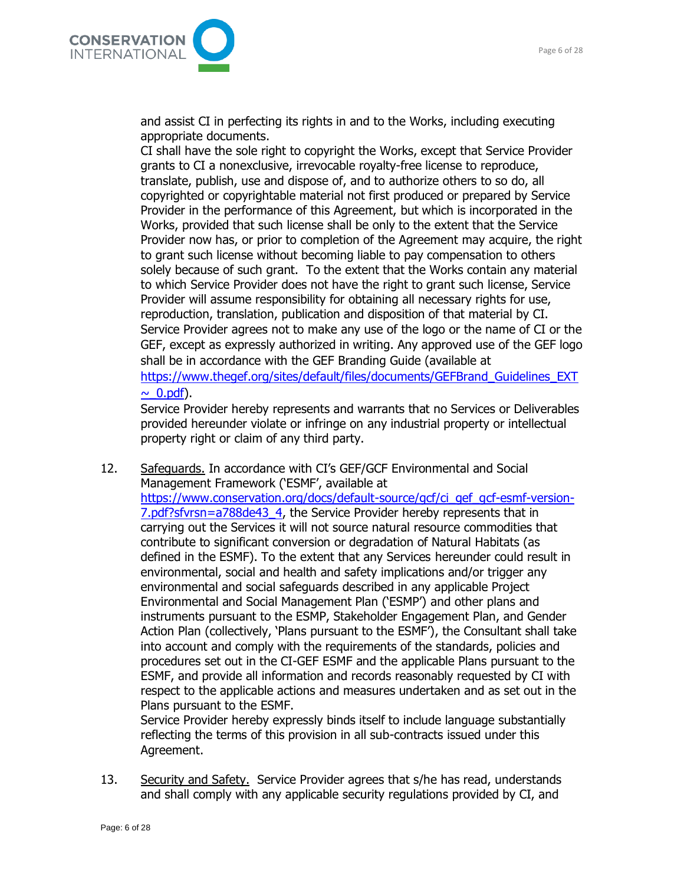

and assist CI in perfecting its rights in and to the Works, including executing appropriate documents.

CI shall have the sole right to copyright the Works, except that Service Provider grants to CI a nonexclusive, irrevocable royalty-free license to reproduce, translate, publish, use and dispose of, and to authorize others to so do, all copyrighted or copyrightable material not first produced or prepared by Service Provider in the performance of this Agreement, but which is incorporated in the Works, provided that such license shall be only to the extent that the Service Provider now has, or prior to completion of the Agreement may acquire, the right to grant such license without becoming liable to pay compensation to others solely because of such grant. To the extent that the Works contain any material to which Service Provider does not have the right to grant such license, Service Provider will assume responsibility for obtaining all necessary rights for use, reproduction, translation, publication and disposition of that material by CI. Service Provider agrees not to make any use of the logo or the name of CI or the GEF, except as expressly authorized in writing. Any approved use of the GEF logo shall be in accordance with the GEF Branding Guide (available at [https://www.thegef.org/sites/default/files/documents/GEFBrand\\_Guidelines\\_EXT](https://www.thegef.org/sites/default/files/documents/GEFBrand_Guidelines_EXT~_0.pdf)  $\sim$  0.pdf).

Service Provider hereby represents and warrants that no Services or Deliverables provided hereunder violate or infringe on any industrial property or intellectual property right or claim of any third party.

12. Safeguards. In accordance with CI's GEF/GCF Environmental and Social Management Framework ('ESMF', available at [https://www.conservation.org/docs/default-source/gcf/ci\\_gef\\_gcf-esmf-version-](https://www.conservation.org/docs/default-source/gcf/ci_gef_gcf-esmf-version-7.pdf?sfvrsn=a788de43_4)[7.pdf?sfvrsn=a788de43\\_4,](https://www.conservation.org/docs/default-source/gcf/ci_gef_gcf-esmf-version-7.pdf?sfvrsn=a788de43_4) the Service Provider hereby represents that in carrying out the Services it will not source natural resource commodities that contribute to significant conversion or degradation of Natural Habitats (as defined in the ESMF). To the extent that any Services hereunder could result in environmental, social and health and safety implications and/or trigger any environmental and social safeguards described in any applicable Project Environmental and Social Management Plan ('ESMP') and other plans and instruments pursuant to the ESMP, Stakeholder Engagement Plan, and Gender Action Plan (collectively, 'Plans pursuant to the ESMF'), the Consultant shall take into account and comply with the requirements of the standards, policies and procedures set out in the CI-GEF ESMF and the applicable Plans pursuant to the ESMF, and provide all information and records reasonably requested by CI with respect to the applicable actions and measures undertaken and as set out in the Plans pursuant to the ESMF.

Service Provider hereby expressly binds itself to include language substantially reflecting the terms of this provision in all sub-contracts issued under this Agreement.

13. Security and Safety. Service Provider agrees that s/he has read, understands and shall comply with any applicable security regulations provided by CI, and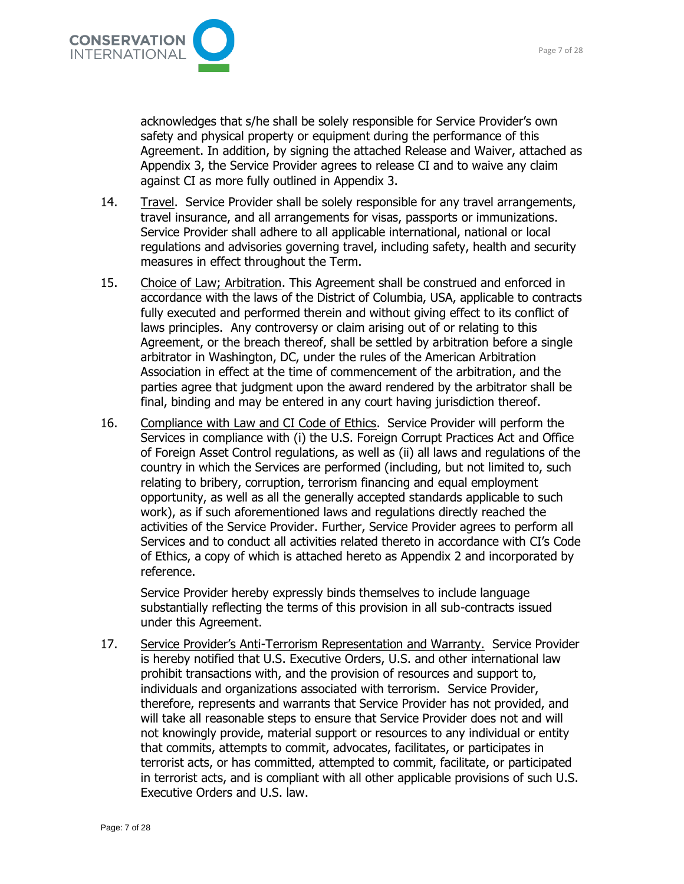

acknowledges that s/he shall be solely responsible for Service Provider's own safety and physical property or equipment during the performance of this Agreement. In addition, by signing the attached Release and Waiver, attached as Appendix 3, the Service Provider agrees to release CI and to waive any claim against CI as more fully outlined in Appendix 3.

- 14. Travel. Service Provider shall be solely responsible for any travel arrangements, travel insurance, and all arrangements for visas, passports or immunizations. Service Provider shall adhere to all applicable international, national or local regulations and advisories governing travel, including safety, health and security measures in effect throughout the Term.
- 15. Choice of Law; Arbitration. This Agreement shall be construed and enforced in accordance with the laws of the District of Columbia, USA, applicable to contracts fully executed and performed therein and without giving effect to its conflict of laws principles. Any controversy or claim arising out of or relating to this Agreement, or the breach thereof, shall be settled by arbitration before a single arbitrator in Washington, DC, under the rules of the American Arbitration Association in effect at the time of commencement of the arbitration, and the parties agree that judgment upon the award rendered by the arbitrator shall be final, binding and may be entered in any court having jurisdiction thereof.
- 16. Compliance with Law and CI Code of Ethics. Service Provider will perform the Services in compliance with (i) the U.S. Foreign Corrupt Practices Act and Office of Foreign Asset Control regulations, as well as (ii) all laws and regulations of the country in which the Services are performed (including, but not limited to, such relating to bribery, corruption, terrorism financing and equal employment opportunity, as well as all the generally accepted standards applicable to such work), as if such aforementioned laws and regulations directly reached the activities of the Service Provider. Further, Service Provider agrees to perform all Services and to conduct all activities related thereto in accordance with CI's Code of Ethics, a copy of which is attached hereto as Appendix 2 and incorporated by reference.

Service Provider hereby expressly binds themselves to include language substantially reflecting the terms of this provision in all sub-contracts issued under this Agreement.

17. Service Provider's Anti-Terrorism Representation and Warranty. Service Provider is hereby notified that U.S. Executive Orders, U.S. and other international law prohibit transactions with, and the provision of resources and support to, individuals and organizations associated with terrorism. Service Provider, therefore, represents and warrants that Service Provider has not provided, and will take all reasonable steps to ensure that Service Provider does not and will not knowingly provide, material support or resources to any individual or entity that commits, attempts to commit, advocates, facilitates, or participates in terrorist acts, or has committed, attempted to commit, facilitate, or participated in terrorist acts, and is compliant with all other applicable provisions of such U.S. Executive Orders and U.S. law.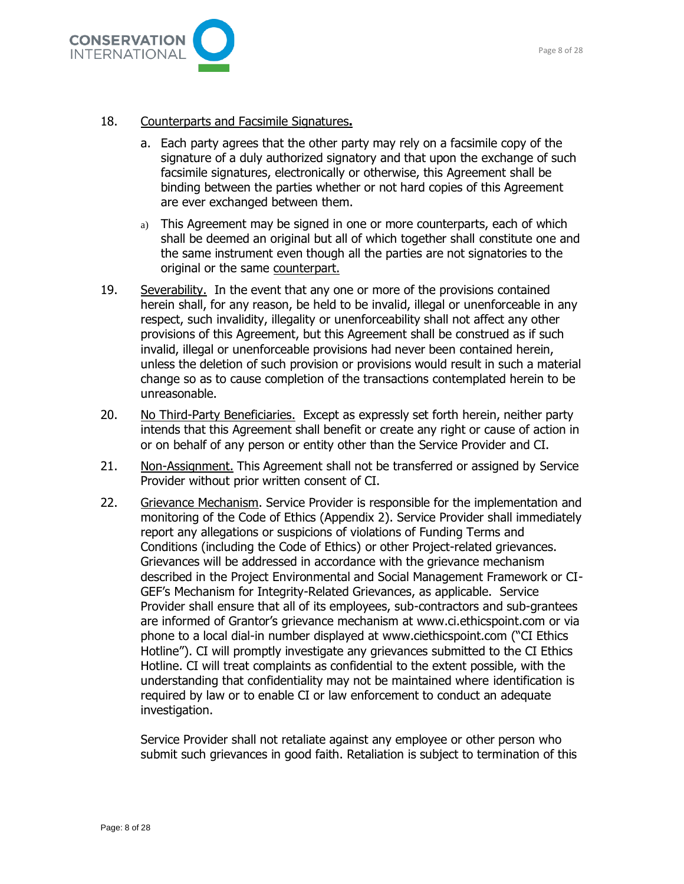

#### 18. Counterparts and Facsimile Signatures**.**

- a. Each party agrees that the other party may rely on a facsimile copy of the signature of a duly authorized signatory and that upon the exchange of such facsimile signatures, electronically or otherwise, this Agreement shall be binding between the parties whether or not hard copies of this Agreement are ever exchanged between them.
- a) This Agreement may be signed in one or more counterparts, each of which shall be deemed an original but all of which together shall constitute one and the same instrument even though all the parties are not signatories to the original or the same counterpart.
- 19. Severability. In the event that any one or more of the provisions contained herein shall, for any reason, be held to be invalid, illegal or unenforceable in any respect, such invalidity, illegality or unenforceability shall not affect any other provisions of this Agreement, but this Agreement shall be construed as if such invalid, illegal or unenforceable provisions had never been contained herein, unless the deletion of such provision or provisions would result in such a material change so as to cause completion of the transactions contemplated herein to be unreasonable.
- 20. No Third-Party Beneficiaries. Except as expressly set forth herein, neither party intends that this Agreement shall benefit or create any right or cause of action in or on behalf of any person or entity other than the Service Provider and CI.
- 21. Non-Assignment. This Agreement shall not be transferred or assigned by Service Provider without prior written consent of CI.
- 22. Grievance Mechanism. Service Provider is responsible for the implementation and monitoring of the Code of Ethics (Appendix 2). Service Provider shall immediately report any allegations or suspicions of violations of Funding Terms and Conditions (including the Code of Ethics) or other Project-related grievances. Grievances will be addressed in accordance with the grievance mechanism described in the Project Environmental and Social Management Framework or CI-GEF's Mechanism for Integrity-Related Grievances, as applicable. Service Provider shall ensure that all of its employees, sub-contractors and sub-grantees are informed of Grantor's grievance mechanism at [www.ci.ethicspoint.com](http://www.ci.ethicspoint.com/) or via phone to a local dial-in number displayed at [www.ciethicspoint.com](http://www.ciethicspoint.com/) ("CI Ethics Hotline"). CI will promptly investigate any grievances submitted to the CI Ethics Hotline. CI will treat complaints as confidential to the extent possible, with the understanding that confidentiality may not be maintained where identification is required by law or to enable CI or law enforcement to conduct an adequate investigation.

Service Provider shall not retaliate against any employee or other person who submit such grievances in good faith. Retaliation is subject to termination of this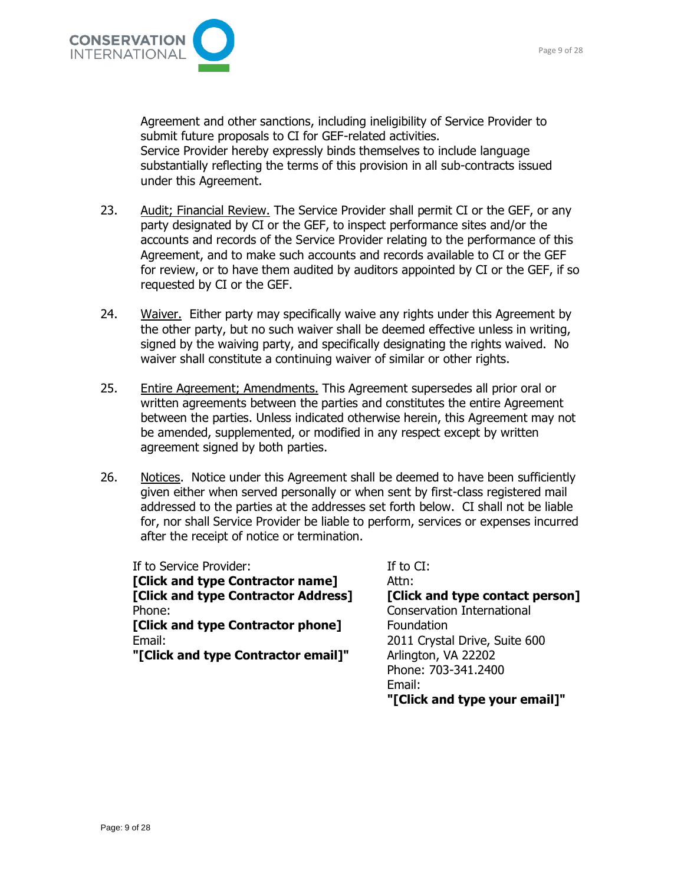

Agreement and other sanctions, including ineligibility of Service Provider to submit future proposals to CI for GEF-related activities. Service Provider hereby expressly binds themselves to include language substantially reflecting the terms of this provision in all sub-contracts issued under this Agreement.

- 23. Audit; Financial Review. The Service Provider shall permit CI or the GEF, or any party designated by CI or the GEF, to inspect performance sites and/or the accounts and records of the Service Provider relating to the performance of this Agreement, and to make such accounts and records available to CI or the GEF for review, or to have them audited by auditors appointed by CI or the GEF, if so requested by CI or the GEF.
- 24. Waiver. Either party may specifically waive any rights under this Agreement by the other party, but no such waiver shall be deemed effective unless in writing, signed by the waiving party, and specifically designating the rights waived. No waiver shall constitute a continuing waiver of similar or other rights.
- 25. Entire Agreement; Amendments. This Agreement supersedes all prior oral or written agreements between the parties and constitutes the entire Agreement between the parties. Unless indicated otherwise herein, this Agreement may not be amended, supplemented, or modified in any respect except by written agreement signed by both parties.
- 26. Notices. Notice under this Agreement shall be deemed to have been sufficiently given either when served personally or when sent by first-class registered mail addressed to the parties at the addresses set forth below. CI shall not be liable for, nor shall Service Provider be liable to perform, services or expenses incurred after the receipt of notice or termination.

If to Service Provider:

**[Click and type Contractor name] [Click and type Contractor Address]**  Phone:

**[Click and type Contractor phone]**  Email:

**"[Click and type Contractor email]"** 

If to CI: Attn: **[Click and type contact person]**  Conservation International Foundation 2011 Crystal Drive, Suite 600 Arlington, VA 22202 Phone: 703-341.2400 Email: **"[Click and type your email]"**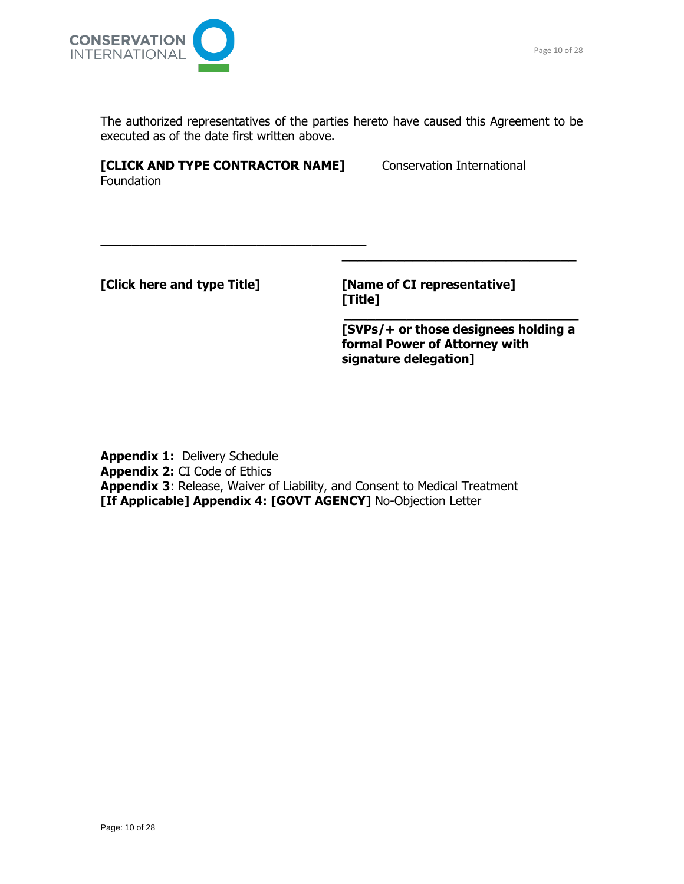

The authorized representatives of the parties hereto have caused this Agreement to be executed as of the date first written above.

**[CLICK AND TYPE CONTRACTOR NAME]** Conservation International Foundation

**\_\_\_\_\_\_\_\_\_\_\_\_\_\_\_\_\_\_\_\_\_\_\_\_\_\_\_\_\_\_\_\_\_\_**

**[Click here and type Title] [Name of CI representative]**

**[Title] \_\_\_\_\_\_\_\_\_\_\_\_\_\_\_\_\_\_\_\_\_\_\_\_\_\_\_\_\_\_**

**[SVPs/+ or those designees holding a formal Power of Attorney with signature delegation]**

**\_\_\_\_\_\_\_\_\_\_\_\_\_\_\_\_\_\_\_\_\_\_\_\_\_\_\_\_\_\_**

**Appendix 1:** Delivery Schedule **Appendix 2:** CI Code of Ethics **Appendix 3**: Release, Waiver of Liability, and Consent to Medical Treatment **[If Applicable] Appendix 4: [GOVT AGENCY]** No-Objection Letter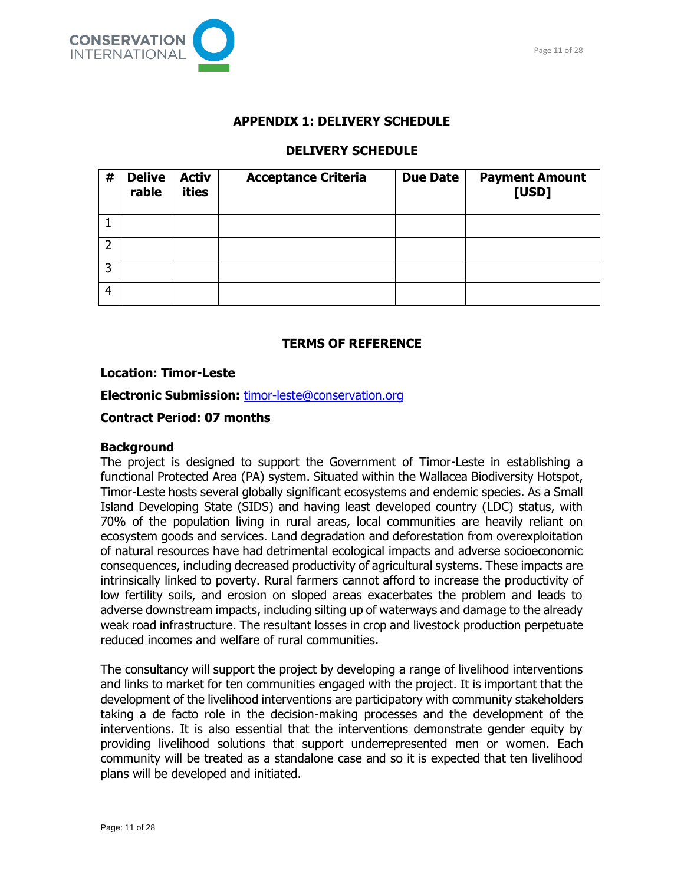

#### **APPENDIX 1: DELIVERY SCHEDULE**

## **DELIVERY SCHEDULE**

| # | <b>Delive</b><br>rable | <b>Activ</b><br>ities | <b>Acceptance Criteria</b> | <b>Due Date</b> | <b>Payment Amount</b><br>[USD] |
|---|------------------------|-----------------------|----------------------------|-----------------|--------------------------------|
|   |                        |                       |                            |                 |                                |
| 2 |                        |                       |                            |                 |                                |
| 3 |                        |                       |                            |                 |                                |
| 4 |                        |                       |                            |                 |                                |

## **TERMS OF REFERENCE**

#### **Location: Timor-Leste**

**Electronic Submission:** [timor-leste@conservation.org](mailto:timor-leste@conservation.org)

## **Contract Period: 07 months**

#### **Background**

The project is designed to support the Government of Timor-Leste in establishing a functional Protected Area (PA) system. Situated within the Wallacea Biodiversity Hotspot, Timor-Leste hosts several globally significant ecosystems and endemic species. As a Small Island Developing State (SIDS) and having least developed country (LDC) status, with 70% of the population living in rural areas, local communities are heavily reliant on ecosystem goods and services. Land degradation and deforestation from overexploitation of natural resources have had detrimental ecological impacts and adverse socioeconomic consequences, including decreased productivity of agricultural systems. These impacts are intrinsically linked to poverty. Rural farmers cannot afford to increase the productivity of low fertility soils, and erosion on sloped areas exacerbates the problem and leads to adverse downstream impacts, including silting up of waterways and damage to the already weak road infrastructure. The resultant losses in crop and livestock production perpetuate reduced incomes and welfare of rural communities.

The consultancy will support the project by developing a range of livelihood interventions and links to market for ten communities engaged with the project. It is important that the development of the livelihood interventions are participatory with community stakeholders taking a de facto role in the decision-making processes and the development of the interventions. It is also essential that the interventions demonstrate gender equity by providing livelihood solutions that support underrepresented men or women. Each community will be treated as a standalone case and so it is expected that ten livelihood plans will be developed and initiated.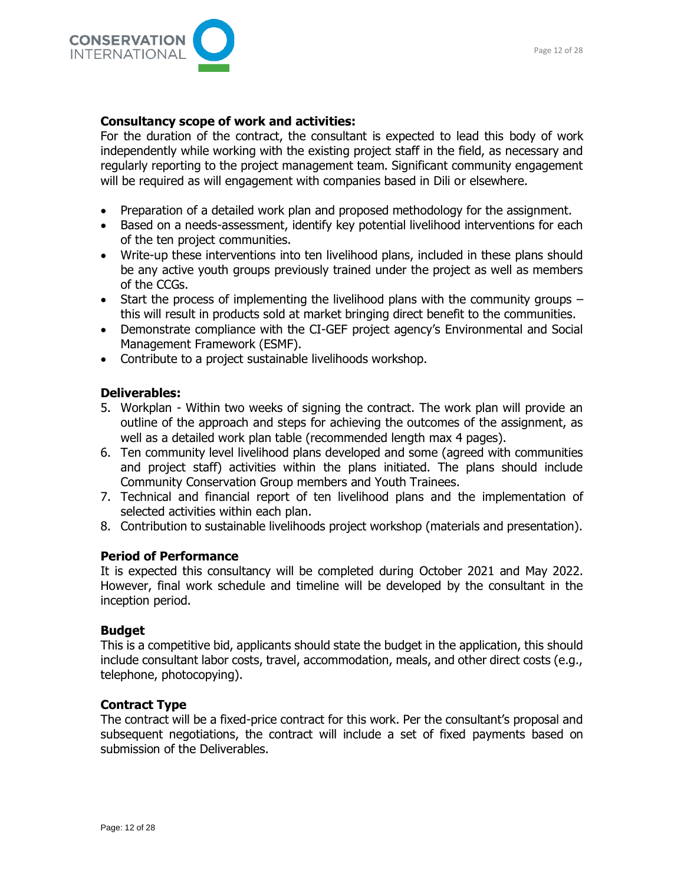

#### **Consultancy scope of work and activities:**

For the duration of the contract, the consultant is expected to lead this body of work independently while working with the existing project staff in the field, as necessary and regularly reporting to the project management team. Significant community engagement will be required as will engagement with companies based in Dili or elsewhere.

- Preparation of a detailed work plan and proposed methodology for the assignment.
- Based on a needs-assessment, identify key potential livelihood interventions for each of the ten project communities.
- Write-up these interventions into ten livelihood plans, included in these plans should be any active youth groups previously trained under the project as well as members of the CCGs.
- Start the process of implementing the livelihood plans with the community groups this will result in products sold at market bringing direct benefit to the communities.
- Demonstrate compliance with the CI-GEF project agency's Environmental and Social Management Framework (ESMF).
- Contribute to a project sustainable livelihoods workshop.

#### **Deliverables:**

- 5. Workplan Within two weeks of signing the contract. The work plan will provide an outline of the approach and steps for achieving the outcomes of the assignment, as well as a detailed work plan table (recommended length max 4 pages).
- 6. Ten community level livelihood plans developed and some (agreed with communities and project staff) activities within the plans initiated. The plans should include Community Conservation Group members and Youth Trainees.
- 7. Technical and financial report of ten livelihood plans and the implementation of selected activities within each plan.
- 8. Contribution to sustainable livelihoods project workshop (materials and presentation).

#### **Period of Performance**

It is expected this consultancy will be completed during October 2021 and May 2022. However, final work schedule and timeline will be developed by the consultant in the inception period.

#### **Budget**

This is a competitive bid, applicants should state the budget in the application, this should include consultant labor costs, travel, accommodation, meals, and other direct costs (e.g., telephone, photocopying).

#### **Contract Type**

The contract will be a fixed-price contract for this work. Per the consultant's proposal and subsequent negotiations, the contract will include a set of fixed payments based on submission of the Deliverables.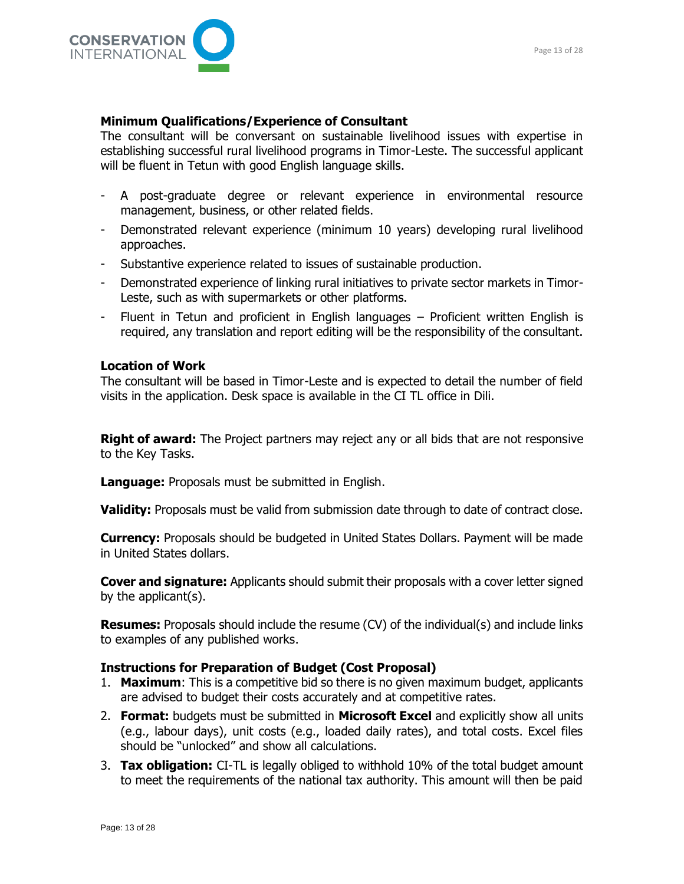

### **Minimum Qualifications/Experience of Consultant**

The consultant will be conversant on sustainable livelihood issues with expertise in establishing successful rural livelihood programs in Timor-Leste. The successful applicant will be fluent in Tetun with good English language skills.

- A post-graduate degree or relevant experience in environmental resource management, business, or other related fields.
- Demonstrated relevant experience (minimum 10 years) developing rural livelihood approaches.
- Substantive experience related to issues of sustainable production.
- Demonstrated experience of linking rural initiatives to private sector markets in Timor-Leste, such as with supermarkets or other platforms.
- Fluent in Tetun and proficient in English languages Proficient written English is required, any translation and report editing will be the responsibility of the consultant.

#### **Location of Work**

The consultant will be based in Timor-Leste and is expected to detail the number of field visits in the application. Desk space is available in the CI TL office in Dili.

**Right of award:** The Project partners may reject any or all bids that are not responsive to the Key Tasks.

**Language:** Proposals must be submitted in English.

**Validity:** Proposals must be valid from submission date through to date of contract close.

**Currency:** Proposals should be budgeted in United States Dollars. Payment will be made in United States dollars.

**Cover and signature:** Applicants should submit their proposals with a cover letter signed by the applicant(s).

**Resumes:** Proposals should include the resume (CV) of the individual(s) and include links to examples of any published works.

#### **Instructions for Preparation of Budget (Cost Proposal)**

- 1. **Maximum**: This is a competitive bid so there is no given maximum budget, applicants are advised to budget their costs accurately and at competitive rates.
- 2. **Format:** budgets must be submitted in **Microsoft Excel** and explicitly show all units (e.g., labour days), unit costs (e.g., loaded daily rates), and total costs. Excel files should be "unlocked" and show all calculations.
- 3. **Tax obligation:** CI-TL is legally obliged to withhold 10% of the total budget amount to meet the requirements of the national tax authority. This amount will then be paid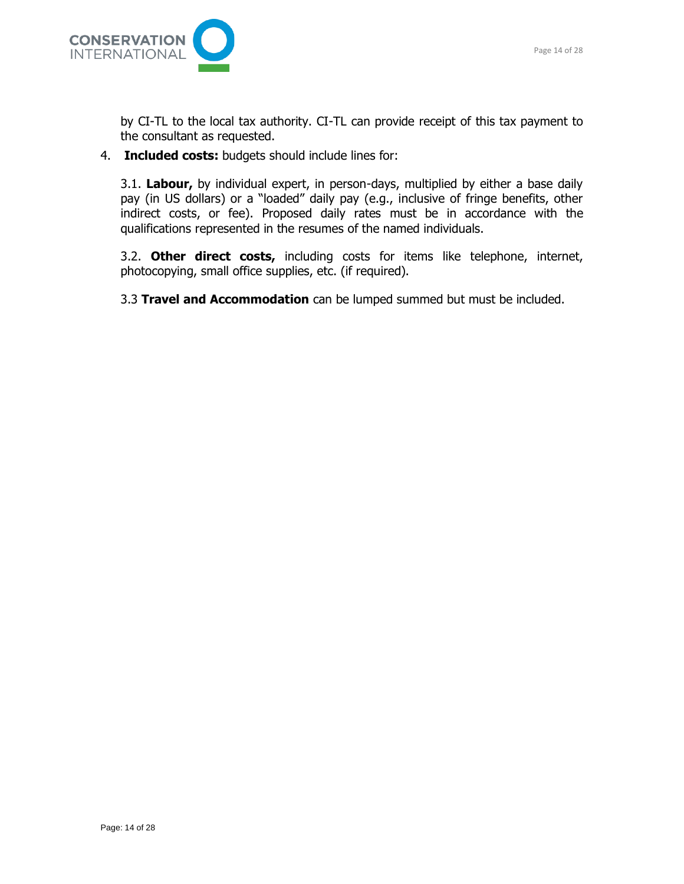

by CI-TL to the local tax authority. CI-TL can provide receipt of this tax payment to the consultant as requested.

4. **Included costs:** budgets should include lines for:

3.1. **Labour,** by individual expert, in person-days, multiplied by either a base daily pay (in US dollars) or a "loaded" daily pay (e.g., inclusive of fringe benefits, other indirect costs, or fee). Proposed daily rates must be in accordance with the qualifications represented in the resumes of the named individuals.

3.2. **Other direct costs,** including costs for items like telephone, internet, photocopying, small office supplies, etc. (if required).

3.3 **Travel and Accommodation** can be lumped summed but must be included.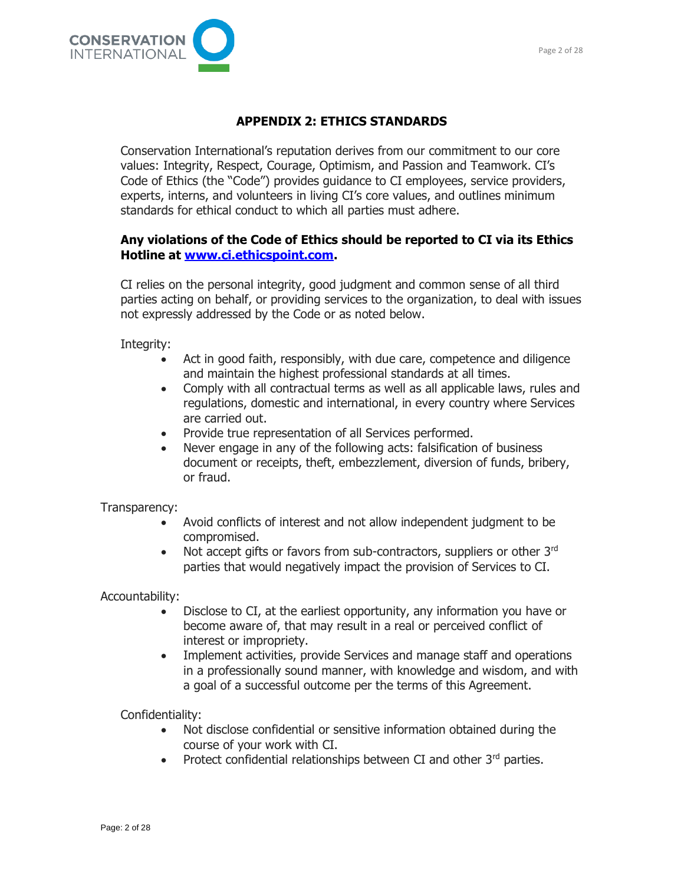

## **APPENDIX 2: ETHICS STANDARDS**

Conservation International's reputation derives from our commitment to our core values: Integrity, Respect, Courage, Optimism, and Passion and Teamwork. CI's Code of Ethics (the "Code") provides guidance to CI employees, service providers, experts, interns, and volunteers in living CI's core values, and outlines minimum standards for ethical conduct to which all parties must adhere.

## **Any violations of the Code of Ethics should be reported to CI via its Ethics Hotline at [www.ci.ethicspoint.com.](http://www.ci.ethicspoint.com/)**

CI relies on the personal integrity, good judgment and common sense of all third parties acting on behalf, or providing services to the organization, to deal with issues not expressly addressed by the Code or as noted below.

Integrity:

- Act in good faith, responsibly, with due care, competence and diligence and maintain the highest professional standards at all times.
- Comply with all contractual terms as well as all applicable laws, rules and regulations, domestic and international, in every country where Services are carried out.
- Provide true representation of all Services performed.
- Never engage in any of the following acts: falsification of business document or receipts, theft, embezzlement, diversion of funds, bribery, or fraud.

Transparency:

- Avoid conflicts of interest and not allow independent judgment to be compromised.
- Not accept gifts or favors from sub-contractors, suppliers or other 3rd parties that would negatively impact the provision of Services to CI.

Accountability:

- Disclose to CI, at the earliest opportunity, any information you have or become aware of, that may result in a real or perceived conflict of interest or impropriety.
- Implement activities, provide Services and manage staff and operations in a professionally sound manner, with knowledge and wisdom, and with a goal of a successful outcome per the terms of this Agreement.

Confidentiality:

- Not disclose confidential or sensitive information obtained during the course of your work with CI.
- Protect confidential relationships between CI and other 3rd parties.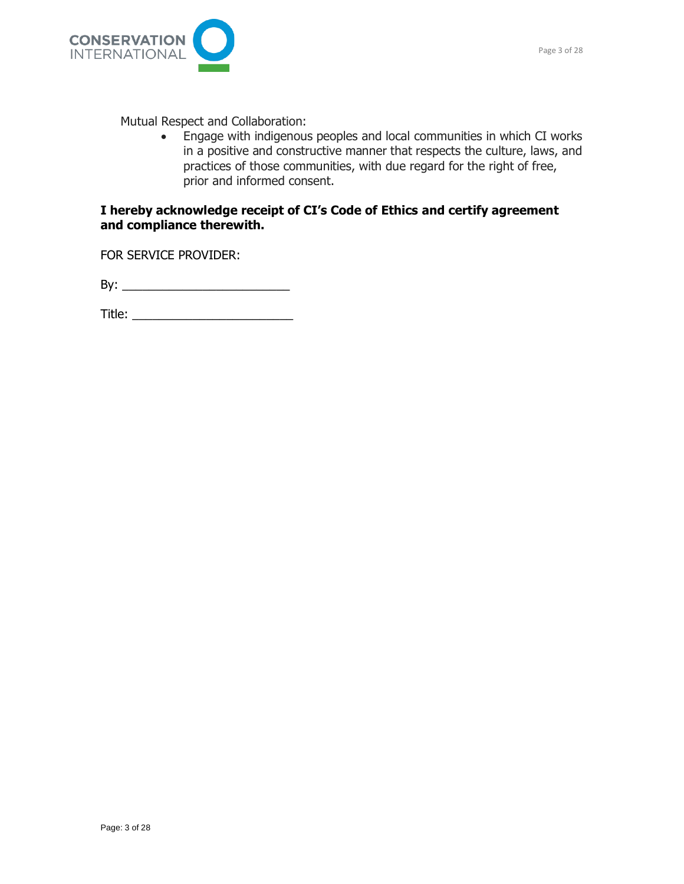

Mutual Respect and Collaboration:

• Engage with indigenous peoples and local communities in which CI works in a positive and constructive manner that respects the culture, laws, and practices of those communities, with due regard for the right of free, prior and informed consent.

## **I hereby acknowledge receipt of CI's Code of Ethics and certify agreement and compliance therewith.**

FOR SERVICE PROVIDER:

By: \_\_\_\_\_\_\_\_\_\_\_\_\_\_\_\_\_\_\_\_\_\_\_\_\_

Title: \_\_\_\_\_\_\_\_\_\_\_\_\_\_\_\_\_\_\_\_\_\_\_\_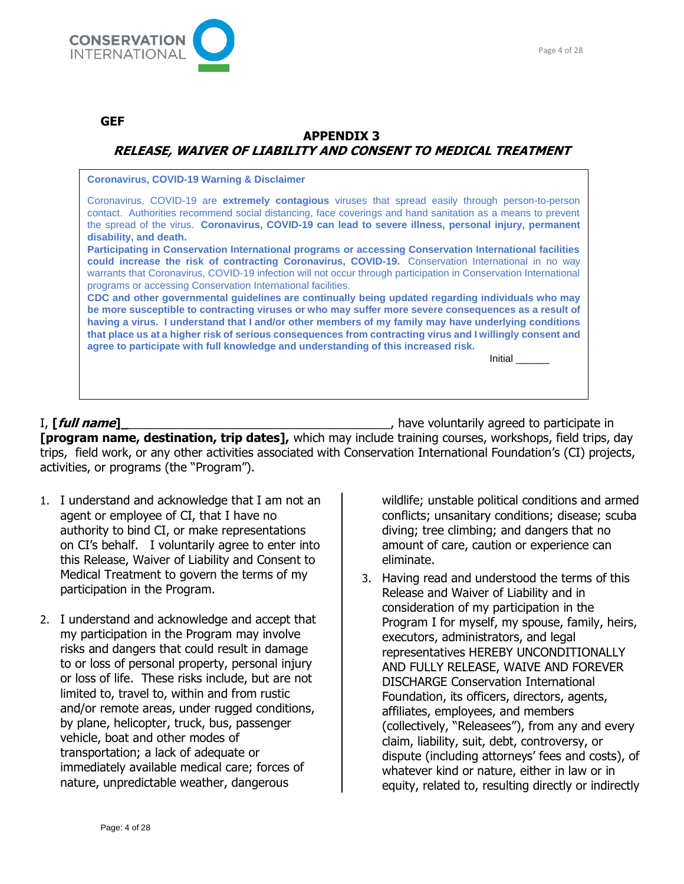

#### **GEF**

## **APPENDIX 3 RELEASE, WAIVER OF LIABILITY AND CONSENT TO MEDICAL TREATMENT**

**Coronavirus, COVID-19 Warning & Disclaimer**

Coronavirus, COVID-19 are **extremely contagious** viruses that spread easily through person-to-person contact. Authorities recommend social distancing, face coverings and hand sanitation as a means to prevent the spread of the virus. **Coronavirus, COVID-19 can lead to severe illness, personal injury, permanent disability, and death.**

**Participating in Conservation International programs or accessing Conservation International facilities could increase the risk of contracting Coronavirus, COVID-19.** Conservation International in no way warrants that Coronavirus, COVID-19 infection will not occur through participation in Conservation International programs or accessing Conservation International facilities.

**CDC and other governmental guidelines are continually being updated regarding individuals who may be more susceptible to contracting viruses or who may suffer more severe consequences as a result of having a virus. I understand that I and/or other members of my family may have underlying conditions that place us at a higher risk of serious consequences from contracting virus and I willingly consent and agree to participate with full knowledge and understanding of this increased risk.**

Initial \_\_\_\_\_\_

I, **[full name]\_**\_\_\_\_\_\_\_\_\_\_\_\_\_\_\_\_\_\_\_\_\_\_\_\_\_\_\_\_\_\_\_\_\_\_\_\_\_\_\_, have voluntarily agreed to participate in **[program name, destination, trip dates],** which may include training courses, workshops, field trips, day trips, field work, or any other activities associated with Conservation International Foundation's (CI) projects, activities, or programs (the "Program").

- 1. I understand and acknowledge that I am not an agent or employee of CI, that I have no authority to bind CI, or make representations on CI's behalf. I voluntarily agree to enter into this Release, Waiver of Liability and Consent to Medical Treatment to govern the terms of my participation in the Program.
- 2. I understand and acknowledge and accept that my participation in the Program may involve risks and dangers that could result in damage to or loss of personal property, personal injury or loss of life. These risks include, but are not limited to, travel to, within and from rustic and/or remote areas, under rugged conditions, by plane, helicopter, truck, bus, passenger vehicle, boat and other modes of transportation; a lack of adequate or immediately available medical care; forces of nature, unpredictable weather, dangerous

wildlife; unstable political conditions and armed conflicts; unsanitary conditions; disease; scuba diving; tree climbing; and dangers that no amount of care, caution or experience can eliminate.

3. Having read and understood the terms of this Release and Waiver of Liability and in consideration of my participation in the Program I for myself, my spouse, family, heirs, executors, administrators, and legal representatives HEREBY UNCONDITIONALLY AND FULLY RELEASE, WAIVE AND FOREVER DISCHARGE Conservation International Foundation, its officers, directors, agents, affiliates, employees, and members (collectively, "Releasees"), from any and every claim, liability, suit, debt, controversy, or dispute (including attorneys' fees and costs), of whatever kind or nature, either in law or in equity, related to, resulting directly or indirectly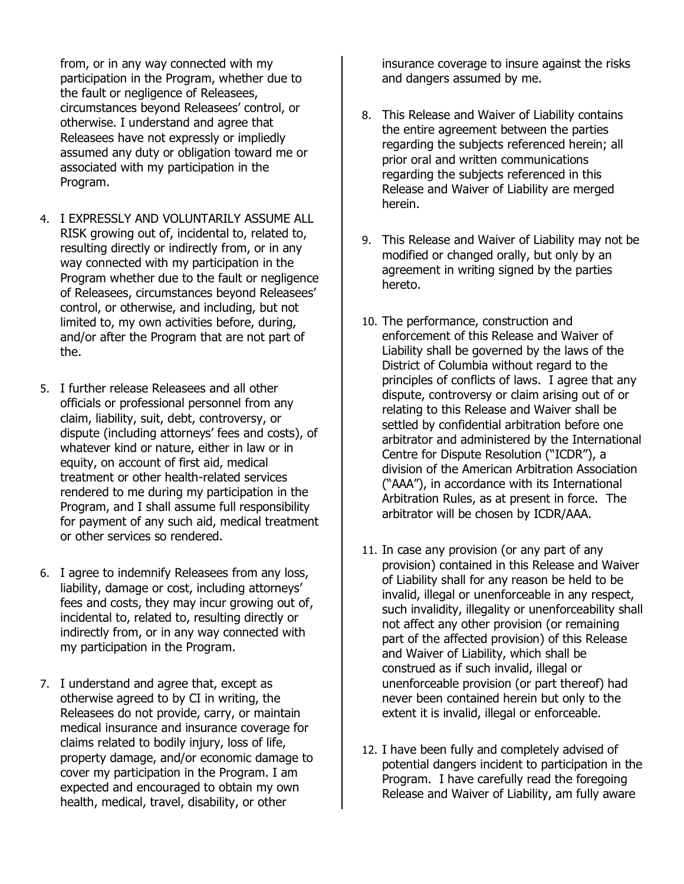from, or in any way connected with my participation in the Program, whether due to the fault or negligence of Releasees, circumstances beyond Releasees' control, or otherwise. I understand and agree that Releasees have not expressly or impliedly assumed any duty or obligation toward me or associated with my participation in the Program.

- 4. I EXPRESSLY AND VOLUNTARILY ASSUME ALL RISK growing out of, incidental to, related to, resulting directly or indirectly from, or in any way connected with my participation in the Program whether due to the fault or negligence of Releasees, circumstances beyond Releasees' control, or otherwise, and including, but not limited to, my own activities before, during, and/or after the Program that are not part of the.
- 5. I further release Releasees and all other officials or professional personnel from any claim, liability, suit, debt, controversy, or dispute (including attorneys' fees and costs), of whatever kind or nature, either in law or in equity, on account of first aid, medical treatment or other health-related services rendered to me during my participation in the Program, and I shall assume full responsibility for payment of any such aid, medical treatment or other services so rendered.
- 6. I agree to indemnify Releasees from any loss, liability, damage or cost, including attorneys' fees and costs, they may incur growing out of, incidental to, related to, resulting directly or indirectly from, or in any way connected with my participation in the Program.
- 7. I understand and agree that, except as otherwise agreed to by CI in writing, the Releasees do not provide, carry, or maintain medical insurance and insurance coverage for claims related to bodily injury, loss of life, property damage, and/or economic damage to cover my participation in the Program. I am expected and encouraged to obtain my own health, medical, travel, disability, or other

insurance coverage to insure against the risks and dangers assumed by me.

- 8. This Release and Waiver of Liability contains the entire agreement between the parties regarding the subjects referenced herein; all prior oral and written communications regarding the subjects referenced in this Release and Waiver of Liability are merged herein.
- 9. This Release and Waiver of Liability may not be modified or changed orally, but only by an agreement in writing signed by the parties hereto.
- 10. The performance, construction and enforcement of this Release and Waiver of Liability shall be governed by the laws of the District of Columbia without regard to the principles of conflicts of laws. I agree that any dispute, controversy or claim arising out of or relating to this Release and Waiver shall be settled by confidential arbitration before one arbitrator and administered by the International Centre for Dispute Resolution ("ICDR"), a division of the American Arbitration Association ("AAA"), in accordance with its International Arbitration Rules, as at present in force. The arbitrator will be chosen by ICDR/AAA.
- 11. In case any provision (or any part of any provision) contained in this Release and Waiver of Liability shall for any reason be held to be invalid, illegal or unenforceable in any respect, such invalidity, illegality or unenforceability shall not affect any other provision (or remaining part of the affected provision) of this Release and Waiver of Liability, which shall be construed as if such invalid, illegal or unenforceable provision (or part thereof) had never been contained herein but only to the extent it is invalid, illegal or enforceable.
- 12. I have been fully and completely advised of potential dangers incident to participation in the Program. I have carefully read the foregoing Release and Waiver of Liability, am fully aware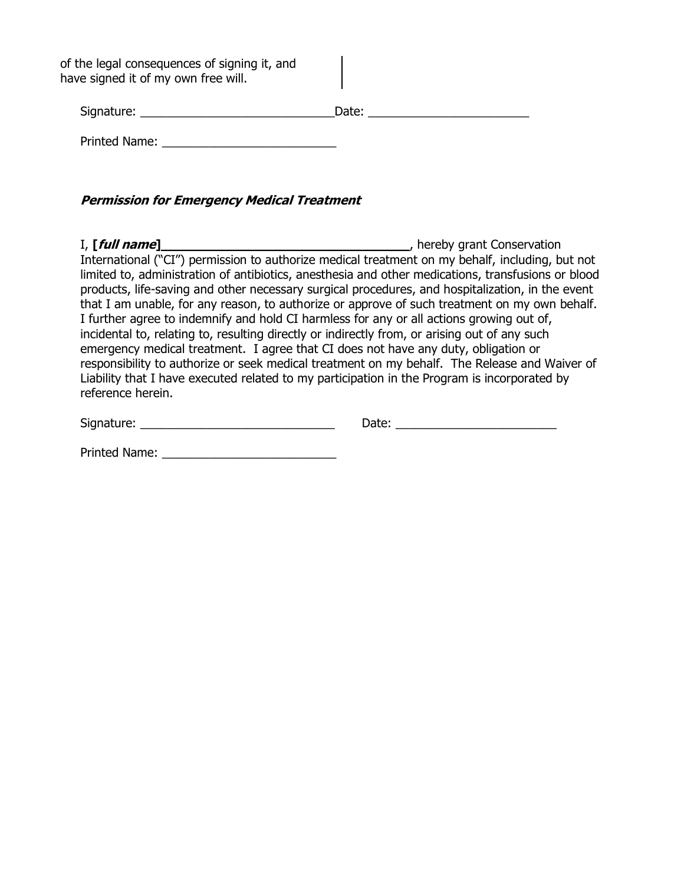of the legal consequences of signing it, and have signed it of my own free will.

| Signature:    | Date: |
|---------------|-------|
| Printed Name: |       |

**Permission for Emergency Medical Treatment**

I, **[full name]**\_\_\_\_\_\_\_\_\_\_\_\_\_\_\_\_\_\_\_\_\_\_\_\_\_\_\_\_\_\_\_\_\_\_\_\_\_, hereby grant Conservation International ("CI") permission to authorize medical treatment on my behalf, including, but not limited to, administration of antibiotics, anesthesia and other medications, transfusions or blood products, life-saving and other necessary surgical procedures, and hospitalization, in the event that I am unable, for any reason, to authorize or approve of such treatment on my own behalf. I further agree to indemnify and hold CI harmless for any or all actions growing out of, incidental to, relating to, resulting directly or indirectly from, or arising out of any such emergency medical treatment. I agree that CI does not have any duty, obligation or responsibility to authorize or seek medical treatment on my behalf. The Release and Waiver of Liability that I have executed related to my participation in the Program is incorporated by reference herein.

| Signature: | ale. |
|------------|------|
|------------|------|

Printed Name: \_\_\_\_\_\_\_\_\_\_\_\_\_\_\_\_\_\_\_\_\_\_\_\_\_\_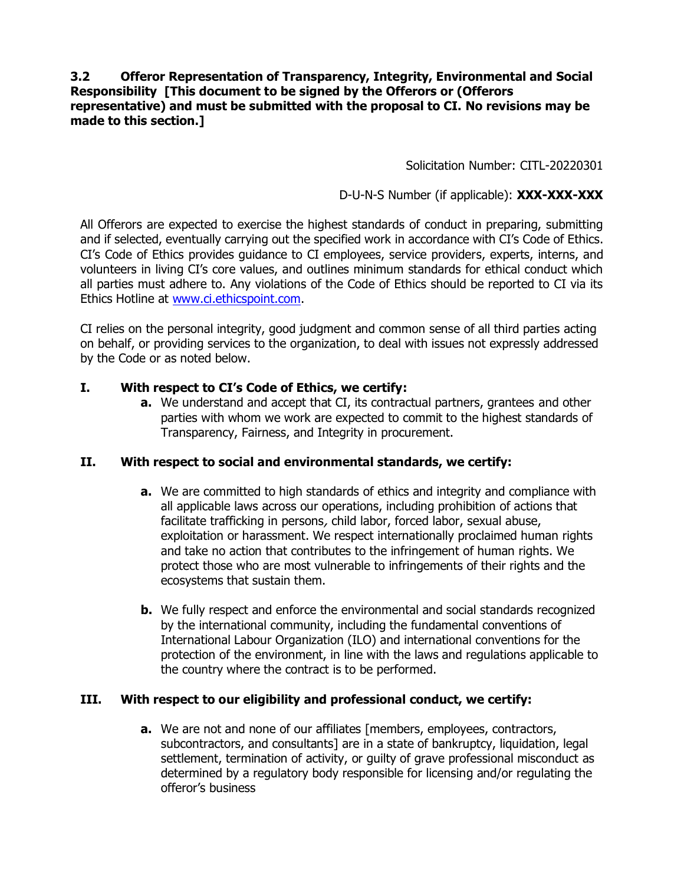## **3.2 Offeror Representation of Transparency, Integrity, Environmental and Social Responsibility [This document to be signed by the Offerors or (Offerors representative) and must be submitted with the proposal to CI. No revisions may be made to this section.]**

Solicitation Number: CITL-20220301

## D-U-N-S Number (if applicable): **XXX-XXX-XXX**

All Offerors are expected to exercise the highest standards of conduct in preparing, submitting and if selected, eventually carrying out the specified work in accordance with CI's Code of Ethics. CI's Code of Ethics provides guidance to CI employees, service providers, experts, interns, and volunteers in living CI's core values, and outlines minimum standards for ethical conduct which all parties must adhere to. Any violations of the Code of Ethics should be reported to CI via its Ethics Hotline at [www.ci.ethicspoint.com.](http://www.ci.ethicspoint.com/)

CI relies on the personal integrity, good judgment and common sense of all third parties acting on behalf, or providing services to the organization, to deal with issues not expressly addressed by the Code or as noted below.

## **I. With respect to CI's Code of Ethics, we certify:**

**a.** We understand and accept that CI, its contractual partners, grantees and other parties with whom we work are expected to commit to the highest standards of Transparency, Fairness, and Integrity in procurement.

## **II. With respect to social and environmental standards, we certify:**

- **a.** We are committed to high standards of ethics and integrity and compliance with all applicable laws across our operations, including prohibition of actions that facilitate trafficking in persons, child labor, forced labor, sexual abuse, exploitation or harassment. We respect internationally proclaimed human rights and take no action that contributes to the infringement of human rights. We protect those who are most vulnerable to infringements of their rights and the ecosystems that sustain them.
- **b.** We fully respect and enforce the environmental and social standards recognized by the international community, including the fundamental conventions of International Labour Organization (ILO) and international conventions for the protection of the environment, in line with the laws and regulations applicable to the country where the contract is to be performed.

## **III. With respect to our eligibility and professional conduct, we certify:**

**a.** We are not and none of our affiliates [members, employees, contractors, subcontractors, and consultants] are in a state of bankruptcy, liquidation, legal settlement, termination of activity, or guilty of grave professional misconduct as determined by a regulatory body responsible for licensing and/or regulating the offeror's business